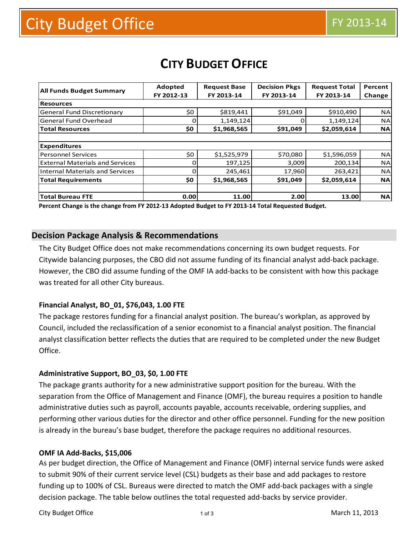|                                        | Adopted    | <b>Request Base</b> | <b>Decision Pkgs</b> | <b>Request Total</b> | Percent<br>Change |  |
|----------------------------------------|------------|---------------------|----------------------|----------------------|-------------------|--|
| <b>All Funds Budget Summary</b>        | FY 2012-13 | FY 2013-14          | FY 2013-14           | FY 2013-14           |                   |  |
| <b>Resources</b>                       |            |                     |                      |                      |                   |  |
| General Fund Discretionary             | \$0        | \$819,441           | \$91,049             | \$910,490            | <b>NA</b>         |  |
| General Fund Overhead                  | 0          | 1,149,124           | 0                    | 1,149,124            | <b>NA</b>         |  |
| <b>Total Resources</b>                 | \$0        | \$1,968,565         | \$91,049             | \$2,059,614          | <b>NA</b>         |  |
|                                        |            |                     |                      |                      |                   |  |
| <b>Expenditures</b>                    |            |                     |                      |                      |                   |  |
| <b>Personnel Services</b>              | \$0        | \$1,525,979         | \$70,080             | \$1,596,059          | <b>NA</b>         |  |
| <b>External Materials and Services</b> | O          | 197,125             | 3,009                | 200,134              | ΝA                |  |
| <b>Internal Materials and Services</b> |            | 245,461             | 17,960               | 263,421              | ΝA                |  |
| <b>Total Requirements</b>              | \$0        | \$1,968,565         | \$91,049             | \$2,059,614          | <b>NA</b>         |  |
| <b>Total Bureau FTE</b>                | 0.00       | 11.00               | 2.00                 | 13.00                | <b>NA</b>         |  |

# **CITY BUDGET OFFICE**

**Percent Change is the change from FY 2012-13 Adopted Budget to FY 2013-14 Total Requested Budget.**

### **Decision Package Analysis & Recommendations**

The City Budget Office does not make recommendations concerning its own budget requests. For Citywide balancing purposes, the CBO did not assume funding of its financial analyst add-back package. However, the CBO did assume funding of the OMF IA add-backs to be consistent with how this package was treated for all other City bureaus.

### **Financial Analyst, BO\_01, \$76,043, 1.00 FTE**

The package restores funding for a financial analyst position. The bureau's workplan, as approved by Council, included the reclassification of a senior economist to a financial analyst position. The financial analyst classification better reflects the duties that are required to be completed under the new Budget Office.

### **Administrative Support, BO\_03, \$0, 1.00 FTE**

The package grants authority for a new administrative support position for the bureau. With the separation from the Office of Management and Finance (OMF), the bureau requires a position to handle administrative duties such as payroll, accounts payable, accounts receivable, ordering supplies, and performing other various duties for the director and other office personnel. Funding for the new position is already in the bureau's base budget, therefore the package requires no additional resources.

#### **OMF IA Add-Backs, \$15,006**

As per budget direction, the Office of Management and Finance (OMF) internal service funds were asked to submit 90% of their current service level (CSL) budgets as their base and add packages to restore funding up to 100% of CSL. Bureaus were directed to match the OMF add-back packages with a single decision package. The table below outlines the total requested add-backs by service provider.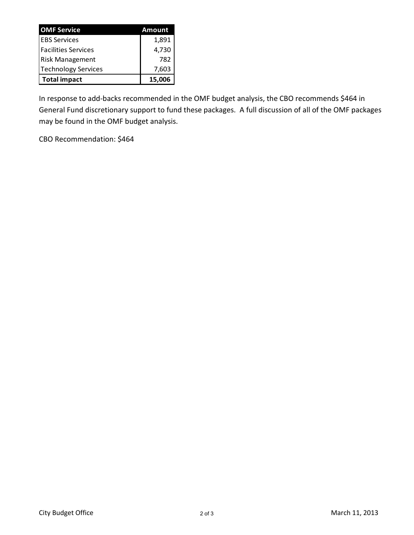| <b>OMF Service</b>     | Amount |  |  |
|------------------------|--------|--|--|
| lEBS Services          | 1,891  |  |  |
| l Facilities Services  | 4,730  |  |  |
| <b>Risk Management</b> | 782    |  |  |
| Technology Services    | 7,603  |  |  |
| <b>Total impact</b>    | 15,006 |  |  |

In response to add-backs recommended in the OMF budget analysis, the CBO recommends \$464 in General Fund discretionary support to fund these packages. A full discussion of all of the OMF packages may be found in the OMF budget analysis.

CBO Recommendation: \$464